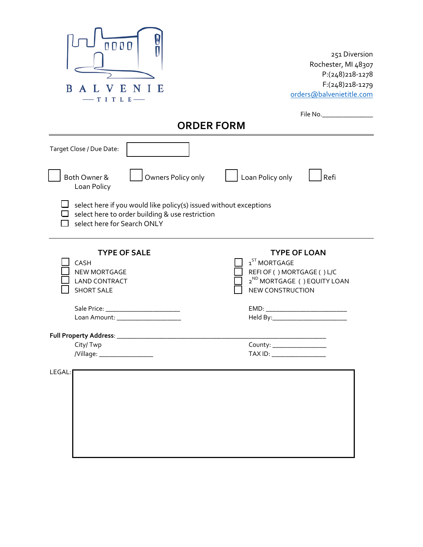| 0000<br>V<br>Ε<br>B<br>E<br>ITLE                                                                                                                    | 251 Diversion<br>Rochester, MI 48307<br>P:(248)218-1278<br>F:(248)218-1279<br>orders@balvenietitle.com                                                                                                                                                               |  |  |
|-----------------------------------------------------------------------------------------------------------------------------------------------------|----------------------------------------------------------------------------------------------------------------------------------------------------------------------------------------------------------------------------------------------------------------------|--|--|
| File No. ________________<br><b>ORDER FORM</b>                                                                                                      |                                                                                                                                                                                                                                                                      |  |  |
| Target Close / Due Date:                                                                                                                            |                                                                                                                                                                                                                                                                      |  |  |
| Owners Policy only<br>Both Owner &<br>Loan Policy                                                                                                   | Loan Policy only<br>Refi                                                                                                                                                                                                                                             |  |  |
| select here if you would like policy(s) issued without exceptions<br>select here to order building & use restriction<br>select here for Search ONLY |                                                                                                                                                                                                                                                                      |  |  |
| <b>TYPE OF SALE</b><br>CASH<br>NEW MORTGAGE<br><b>LAND CONTRACT</b><br><b>SHORT SALE</b>                                                            | <b>TYPE OF LOAN</b><br>$1ST$ MORTGAGE<br>REFI OF () MORTGAGE () L/C<br>$2^{\sf ND}$ MORTGAGE ( ) EQUITY LOAN<br><b>NEW CONSTRUCTION</b>                                                                                                                              |  |  |
| Loan Amount: ___________________                                                                                                                    | EMD: North Contract Contract Contract Contract Contract Contract Contract Contract Contract Contract Contract Contract Contract Contract Contract Contract Contract Contract Contract Contract Contract Contract Contract Cont<br>Held By:__________________________ |  |  |
| Full Property Address: _______________<br>City/Twp<br>/Village: ____________________                                                                | County: _______________<br>TAX ID: _________________                                                                                                                                                                                                                 |  |  |
| LEGAL:                                                                                                                                              |                                                                                                                                                                                                                                                                      |  |  |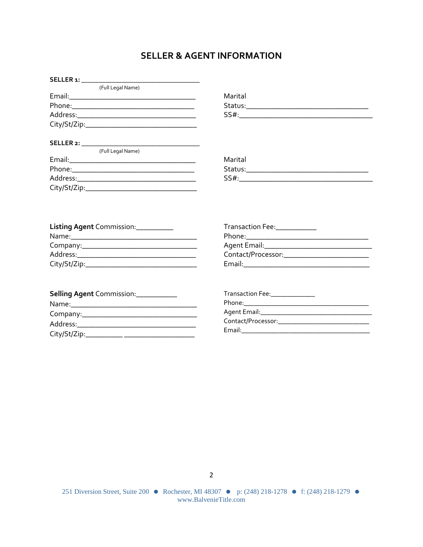## **SELLER & AGENT INFORMATION**

| (Full Legal Name) |         |
|-------------------|---------|
|                   | Marital |
|                   |         |
|                   |         |
|                   |         |
|                   |         |
| (Full Legal Name) |         |
|                   | Marital |
|                   |         |
|                   |         |
|                   |         |
|                   |         |
|                   |         |
|                   |         |

| Listing Agent Commission: __________ | Transaction Fee:<br><u> </u>                   |
|--------------------------------------|------------------------------------------------|
|                                      |                                                |
|                                      |                                                |
| Address:                             | Contact/Processor: National Contact/Processor: |
|                                      |                                                |

| Selling Agent Commission: ___________                                 |                                                                                                                                                                                                                                |
|-----------------------------------------------------------------------|--------------------------------------------------------------------------------------------------------------------------------------------------------------------------------------------------------------------------------|
|                                                                       |                                                                                                                                                                                                                                |
|                                                                       |                                                                                                                                                                                                                                |
| Address:<br><u> 1989 - John Stein, Amerikaansk politiker († 1908)</u> |                                                                                                                                                                                                                                |
|                                                                       | Email: Email: Email: Email: Email: Email: Email: Email: Email: Email: Email: Email: Email: Email: Email: Email: Email: Email: Email: Email: Email: Email: Email: Email: Email: Email: Email: Email: Email: Email: Email: Email |